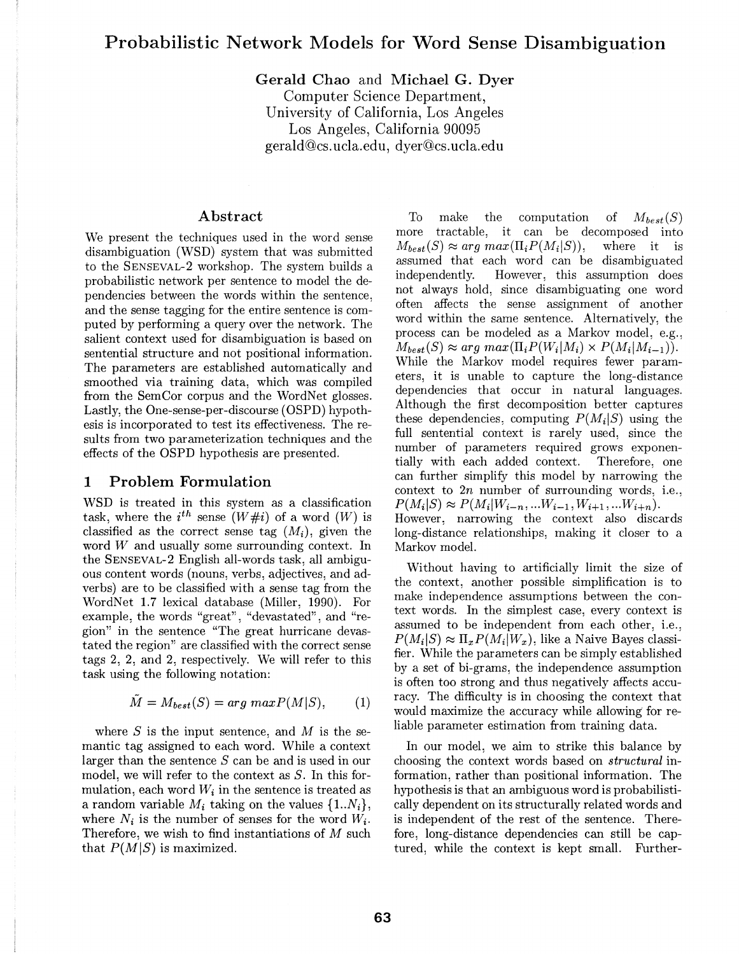# **Probabilistic Network Models for Word Sense Disambiguation**

**Gerald Chao** and **Michael G. Dyer**  Computer Science Department, University of California, Los Angeles

Los Angeles, California 90095 gerald@cs.ucla.edu, dyer@cs.ucla.edu

#### **Abstract**

We present the techniques used in the word sense disambiguation (WSD) system that was submitted to the SENSEVAL-2 workshop. The system builds a probabilistic network per sentence to model the dependencies between the words within the sentence, and the sense tagging for the entire sentence is computed by performing a query over the network. The salient context used for disambiguation is based on sentential structure and not positional information. The parameters are established automatically and smoothed via training data, which was compiled from the SemCor corpus and the WordNet glosses. Lastly, the One-sense-per-discourse ( OSPD) hypothesis is incorporated to test its effectiveness. The results from two parameterization techniques and the effects of the OSPD hypothesis are presented.

### **1 Problem Formulation**

WSD is treated in this system as a classification task, where the  $i^{th}$  sense  $(W \# i)$  of a word  $(W)$  is classified as the correct sense tag  $(M_i)$ , given the word *W* and usually some surrounding context. In the SENSEVAL-2 English all-words task, all ambiguous content words (nouns, verbs, adjectives, and adverbs) are to be classified with a sense tag from the WordNet 1.7 lexical database (Miller, 1990). For example, the words "great", "devastated", and "region" in the sentence "The great hurricane devastated the region" are classified with the correct sense tags 2, 2, and 2, respectively. We will refer to this task using the following notation:

$$
\tilde{M} = M_{best}(S) = arg\ max P(M|S), \qquad (1)
$$

where *S* is the input sentence, and *M* is the semantic tag assigned to each word. While a context larger than the sentence S can be and is used in our model, we will refer to the context as  $S$ . In this formulation, each word  $W_i$  in the sentence is treated as a random variable  $M_i$  taking on the values  $\{1..N_i\},\$ where  $N_i$  is the number of senses for the word  $W_i$ . Therefore, we wish to find instantiations of  $M$  such that  $P(M|S)$  is maximized.

To make the computation of *Mbest(S)*  more tractable, it can be decomposed into  $M_{best}(S) \approx arg \ max(\Pi_i P(M_i|S)),$  where it is assumed that each word can be disambiguated independently. However, this assumption does not always hold, since disambiguating one word often affects the sense assignment of another word within the same sentence. Alternatively, the process can be modeled as a Markov model, e.g.,  $M_{best}(S) \approx \arg \max(\Pi_i P(W_i|M_i) \times P(M_i|M_{i-1})).$ While the Markov model requires fewer parameters, it is unable to capture the long-distance dependencies that occur in natural languages. Although the first decomposition better captures these dependencies, computing  $P(M_i|S)$  using the full sentential context is rarely used, since the number of parameters required grows exponentially with each added context. Therefore, one can further simplify this model by narrowing the context to 2n number of surrounding words, i.e.,  $P(M_i|S) \approx P(M_i|W_{i-n},...W_{i-1},W_{i+1},...W_{i+n}).$ However, narrowing the context also discards long-distance relationships, making it closer to a Markov model.

Without having to artificially limit the size of the context, another possible simplification is to make independence assumptions between the context words. In the simplest case, every context is assumed to be independent from each other, i.e.,  $P(M_i|S) \approx \Pi_x P(M_i|W_x)$ , like a Naive Bayes classifier. While the parameters can be simply established by a set of bi-grams, the independence assumption is often too strong and thus negatively affects accuracy. The difficulty is in choosing the context that would maximize the accuracy while allowing for reliable parameter estimation from training data.

In our model, we aim to strike this balance by choosing the context words based on *structural* information, rather than positional information. The hypothesis is that an ambiguous word is probabilistically dependent on its structurally related words and is independent of the rest of the sentence. Therefore, long-distance dependencies can still be captured, while the context is kept small. Further-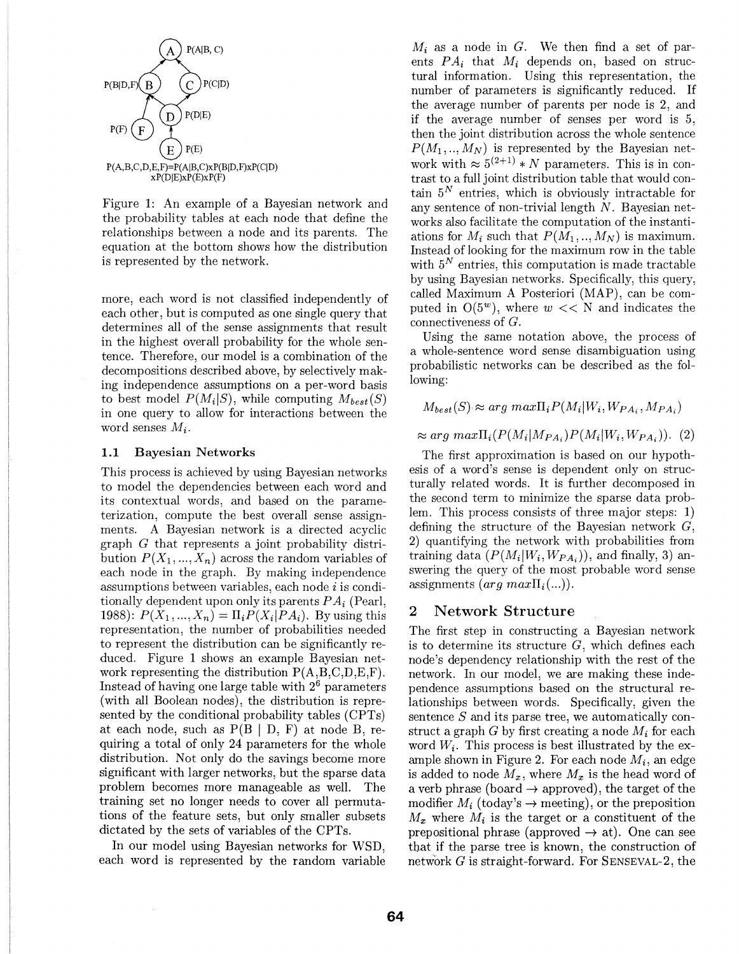

Figure **1:** An example of a Bayesian network and the probability tables at each node that define the relationships between a node and its parents. The equation at the bottom shows how the distribution is represented by the network.

more, each word is not classified independently of each other, but is computed as one single query that determines all of the sense assignments that result in the highest overall probability for the whole sentence. Therefore, our model is a combination of the decompositions described above, by selectively making independence assumptions on a per-word basis to best model  $P(M_i|S)$ , while computing  $M_{best}(S)$ in one query to allow for interactions between the word senses *M;.* 

#### **1.1** Bayesian Networks

This process is achieved by using Bayesian networks to model the dependencies between each word and its contextual words, and based on the parameterization, compute the best overall sense assignments. A Bayesian network is a directed acyclic graph G that represents a joint probability distribution  $P(X_1, ..., X_n)$  across the random variables of each node in the graph. By making independence assumptions between variables, each node i is conditionally dependent upon only its parents *P A;* (Pearl, 1988):  $P(X_1, ..., X_n) = \prod_i P(X_i | PA_i)$ . By using this representation, the number of probabilities needed to represent the distribution can be significantly reduced. Figure 1 shows an example Bayesian network representing the distribution  $P(A, B, C, D, E, F)$ . Instead of having one large table with  $2<sup>6</sup>$  parameters (with all Boolean nodes), the distribution is represented by the conditional probability tables (CPTs) at each node, such as  $P(B | D, F)$  at node B, requiring a total of only 24 parameters for the whole distribution. Not only do the savings become more significant with larger networks, but the sparse data problem becomes more manageable as well. The training set no longer needs to cover all permutations of the feature sets, but only smaller subsets dictated by the sets of variables of the CPTs.

In our model using Bayesian networks for WSD, each word is represented by the random variable

*M;* as a node in *G.* We then find a set of parents  $PA_i$  that  $M_i$  depends on, based on structural information. Using this representation, the number of parameters is significantly reduced. If the average number of parents per node is 2, and if the average number of senses per word is 5, then the joint distribution across the whole sentence  $P(M_1, ..., M_N)$  is represented by the Bayesian network with  $\approx 5^{(2+1)} * N$  parameters. This is in contrast to a full joint distribution table that would contain  $5^N$  entries, which is obviously intractable for any sentence of non-trivial length N. Bayesian networks also facilitate the computation of the instantiations for  $M_i$  such that  $P(M_1, ..., M_N)$  is maximum. Instead of looking for the maximum row in the table with  $5^N$  entries, this computation is made tractable by using Bayesian networks. Specifically, this query, called Maximum A Posteriori (MAP), can be computed in  $O(5^w)$ , where  $w \ll N$  and indicates the connectiveness of *G.* 

Using the same notation above, the process of a whole-sentence word sense disambiguation using probabilistic networks can be described as the following:

$$
M_{best}(S) \approx arg max \Pi_i P(M_i | W_i, W_{PA_i}, M_{PA_i})
$$

 $\approx arg \ max \prod_i (P(M_i|M_{PA_i})P(M_i|W_i,W_{PA_i})).$  (2)

The first approximation is based on our hypothesis of a word's sense is dependent only on structurally related words. It is further decomposed in the second term to minimize the sparse data problem. This process consists of three major steps: 1) defining the structure of the Bayesian network  $G$ , 2) quantifying the network with probabilities from training data  $(P(M_i|W_i,W_{PA_i}))$ , and finally, 3) answering the query of the most probable word sense assignments  $(arg \, max\Pi_i(...))$ .

#### **2 Network Structure**

The first step in constructing a Bayesian network is to determine its structure  $G$ , which defines each node's dependency relationship with the rest of the network. In our model, we are making these independence assumptions based on the structural relationships between words. Specifically, given the sentence S and its parse tree, we automatically construct a graph *G* by first creating a node *M;* for each word  $W_i$ . This process is best illustrated by the example shown in Figure 2. For each node *M;,* an edge is added to node  $M_x$ , where  $M_x$  is the head word of a verb phrase (board  $\rightarrow$  approved), the target of the modifier  $M_i$  (today's  $\rightarrow$  meeting), or the preposition  $M_x$  where  $M_i$  is the target or a constituent of the prepositional phrase (approved  $\rightarrow$  at). One can see that if the parse tree is known, the construction of network  $G$  is straight-forward. For SENSEVAL-2, the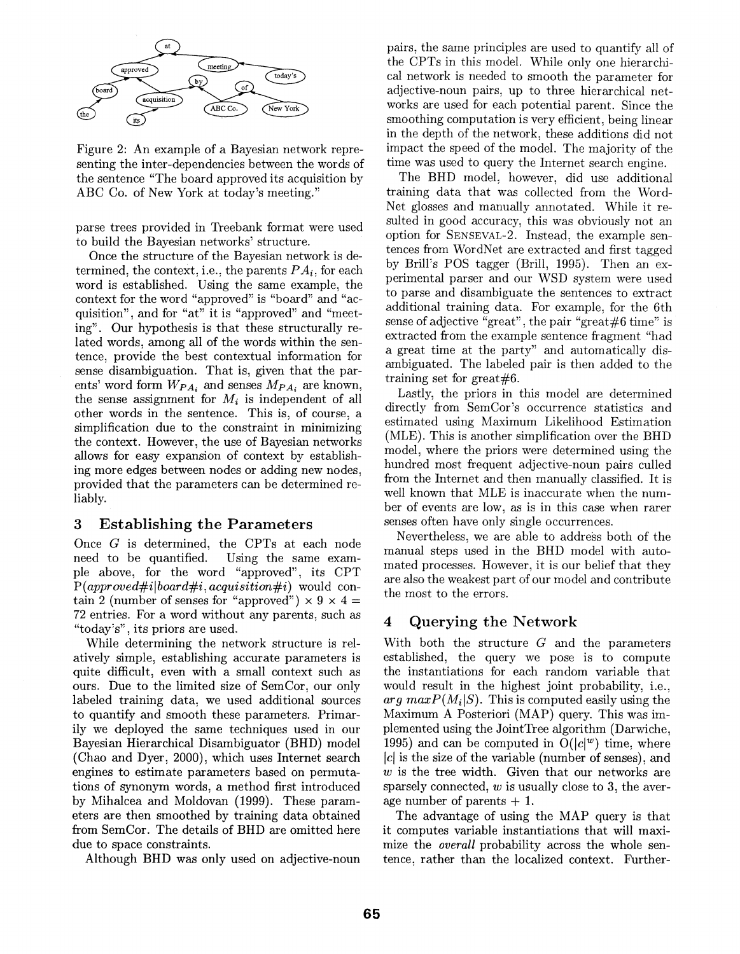

Figure 2: An example of a Bayesian network representing the inter-dependencies between the words of the sentence "The board approved its acquisition by ABC Co. of New York at today's meeting."

parse trees provided in Treebank format were used to build the Bayesian networks' structure.

Once the structure of the Bayesian network is determined, the context, i.e., the parents  $PA_i$ , for each word is established. Using the same example, the context for the word "approved" is "board" and "acquisition", and for "at" it is "approved" and "meeting'). Our hypothesis is that these structurally related words: among all of the words within the sentence, provide the best contextual information for sense disambiguation. That is, given that the parents' word form *WPA,* and senses *MPA,* are known, the sense assignment for  $M_i$  is independent of all other words in the sentence. This is, of course, a simplification due to the constraint in minimizing the context. However, the use of Bayesian networks allows for easy expansion of context by establishing more edges between nodes or adding new nodes, provided that the parameters can be determined reliably.

# 3 Establishing the Parameters

Once *G* is determined, the CPTs at each node need to be quantified. Using the same example above, for the word "approved", its CPT *P(appraved#ilboard#i, acquisition#i)* would contain 2 (number of senses for "approved")  $\times$  9  $\times$  4 = 72 entries. For a word without any parents, such as "today's'), its priors are used.

While determining the network structure is relatively simple, establishing accurate parameters is quite difficult, even with a small context such as ours. Due to the limited size of SemCor, our only labeled training data, we used additional sources to quantify and smooth these parameters. Primarily we deployed the same techniques used in our Bayesian Hierarchical Disambiguator (BHD) model (Chao and Dyer, 2000), which uses Internet search engines to estimate parameters based on permutations of synonym words, a method first introduced by Mihalcea and Moldovan (1999). These parameters are then smoothed by training data obtained from SemCor. The details of BHD are omitted here due to space constraints.

Although BHD was only used on adjective-noun

pairs, the same principles are used to quantify all of the CPTs in this model. While only one hierarchical network is needed to smooth the parameter for adjective-noun pairs, up to three hierarchical networks are used for each potential parent. Since the smoothing computation is very efficient, being linear in the depth of the network, these additions did not impact the speed of the model. The majority of the time was used to query the Internet search engine.

The BHD model, however, did use additional training data that was collected from the Word-Net glosses and manually annotated. While it resulted in good accuracy, this was obviously not an option for SENSEVAL-2. Instead, the example sentences from WordNet are extracted and first tagged by Brill's POS tagger (Brill, 1995). Then an experimental parser and our WSD system were used to parse and disambiguate the sentences to extract additional training data. For example, for the 6th sense of adjective "great", the pair "great#6 time" is extracted from the example sentence fragment "had a great time at the party" and automatically disambiguated. The labeled pair is then added to the training set for great#6.

Lastly, the priors in this model are determined directly from SemCor's occurrence statistics and estimated using Maximum Likelihood Estimation (MLE). This is another simplification over the BHD model, where the priors were determined using the hundred most frequent adjective-noun pairs culled from the Internet and then manually classified. It is well known that MLE is inaccurate when the number of events are low, as is in this case when rarer senses often have only single occurrences.

Nevertheless, we are able to address both of the manual steps used in the BHD model with automated processes. However, it is our belief that they are also the weakest part of our model and contribute the most to the errors.

# 4 Querying the Network

With both the structure  $G$  and the parameters established, the query we pose is to compute the instantiations for each random variable that would result in the highest joint probability, i.e.,  $arg \, maxP(M_i|S)$ . This is computed easily using the Maximum A Posteriori (MAP) query. This was implemented using the JointTree algorithm (Darwiche, 1995) and can be computed in  $O(|c|^w)$  time, where  $|c|$  is the size of the variable (number of senses), and *w* is the tree width. Given that our networks are sparsely connected, *w* is usually close to 3, the average number of parents  $+1$ .

The advantage of using the MAP query is that it computes variable instantiations that will maximize the *overall* probability across the whole sentence, rather than the localized context. Further-